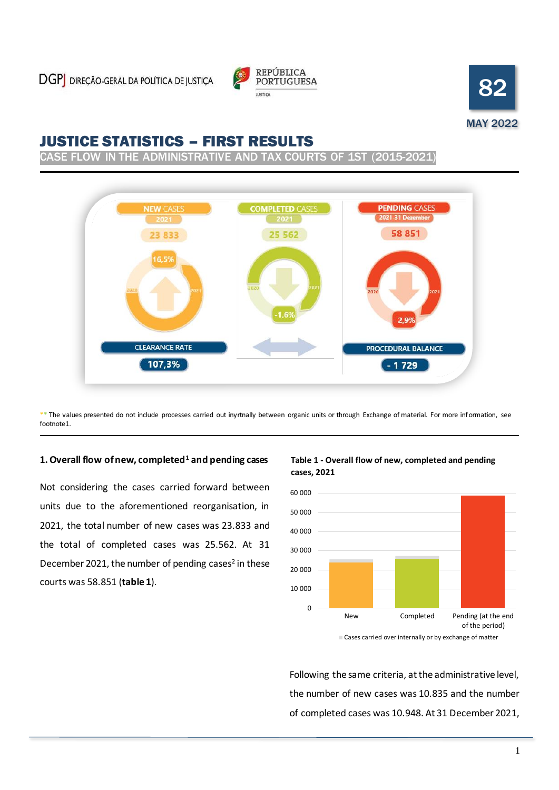



# JUSTICE STATISTICS – FIRST RESULTS

SE FLOW IN THE ADMINISTRATIVE AND TAX COURTS OF 1ST (2015-2021



\*\* The values presented do not include processes carried out inyrtnally between organic units or through Exchange of material. For more information, see footnote1.

### **1. Overall flow of new, completed<sup>1</sup> and pending cases**

Not considering the cases carried forward between units due to the aforementioned reorganisation, in 2021, the total number of new cases was 23.833 and the total of completed cases was 25.562. At 31 December 2021, the number of pending cases<sup>2</sup> in these courts was 58.851 (**table 1**).

### **Table 1 - Overall flow of new, completed and pending cases, 2021**



Cases carried over internally or by exchange of matter

Following the same criteria, at the administrative level, the number of new cases was 10.835 and the number of completed cases was 10.948. At 31 December 2021,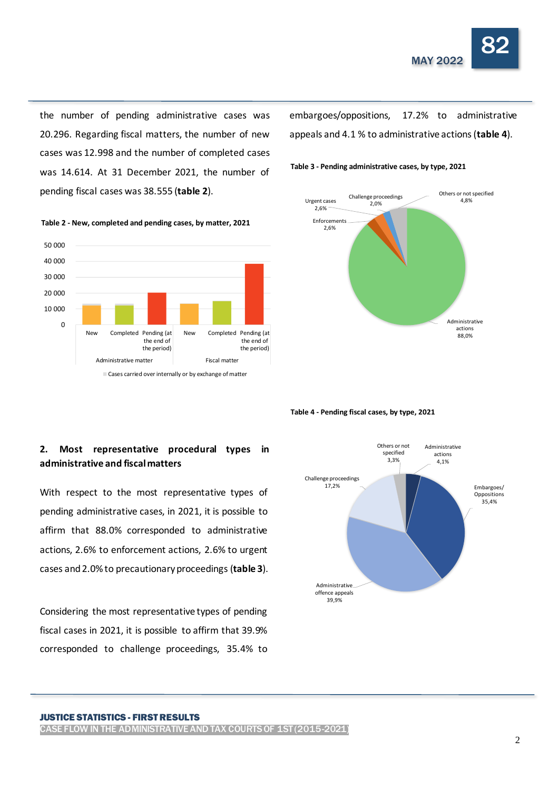

the number of pending administrative cases was 20.296. Regarding fiscal matters, the number of new cases was 12.998 and the number of completed cases was 14.614. At 31 December 2021, the number of pending fiscal cases was 38.555 (**table 2**).



embargoes/oppositions, 17.2% to administrative appeals and 4.1 % to administrative actions (**table 4**).



**Table 4 - Pending fiscal cases, by type, 2021**

# **2. Most representative procedural types in administrative and fiscal matters**

With respect to the most representative types of pending administrative cases, in 2021, it is possible to affirm that 88.0% corresponded to administrative actions, 2.6% to enforcement actions, 2.6% to urgent cases and 2.0% to precautionary proceedings (**table 3**).

Considering the most representative types of pending fiscal cases in 2021, it is possible to affirm that 39.9% corresponded to challenge proceedings, 35.4% to



#### JUSTICE STATISTICS - FIRST RESULTS

CASE FLOW IN THE ADMINISTRATIVE AND TAX COURTS OF 1ST (2015-2021)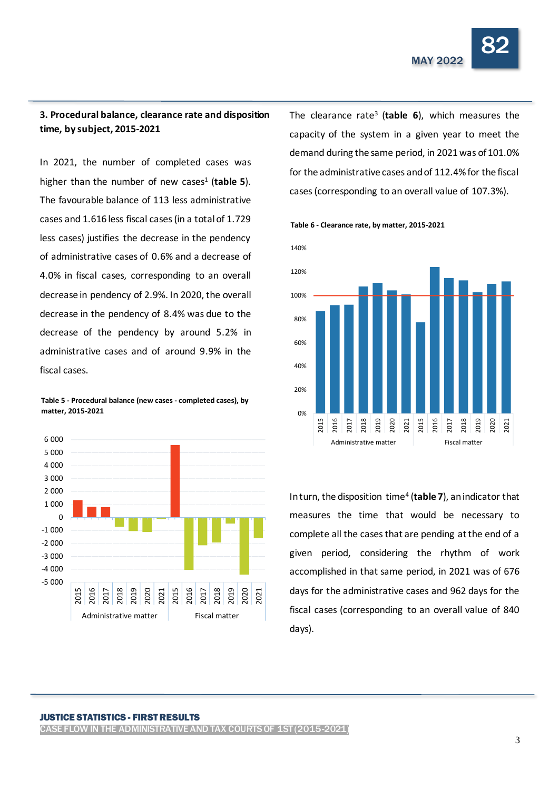

## **3. Procedural balance, clearance rate and disposition time, by subject, 2015-2021**

In 2021, the number of completed cases was higher than the number of new cases<sup>1</sup> (table 5). The favourable balance of 113 less administrative cases and 1.616 less fiscal cases (in a total of 1.729 less cases) justifies the decrease in the pendency of administrative cases of 0.6% and a decrease of 4.0% in fiscal cases, corresponding to an overall decrease in pendency of 2.9%. In 2020, the overall decrease in the pendency of 8.4% was due to the decrease of the pendency by around 5.2% in administrative cases and of around 9.9% in the fiscal cases.

**Table 5 - Procedural balance (new cases - completed cases), by matter, 2015-2021**



The clearance rate<sup>3</sup> (**table 6**), which measures the capacity of the system in a given year to meet the demand during the same period, in 2021 was of 101.0% for the administrative cases and of 112.4% for the fiscal cases (corresponding to an overall value of 107.3%).





In turn, the disposition time<sup>4</sup> (**table 7**), an indicator that measures the time that would be necessary to complete all the cases that are pending at the end of a given period, considering the rhythm of work accomplished in that same period, in 2021 was of 676 days for the administrative cases and 962 days for the fiscal cases (corresponding to an overall value of 840 days).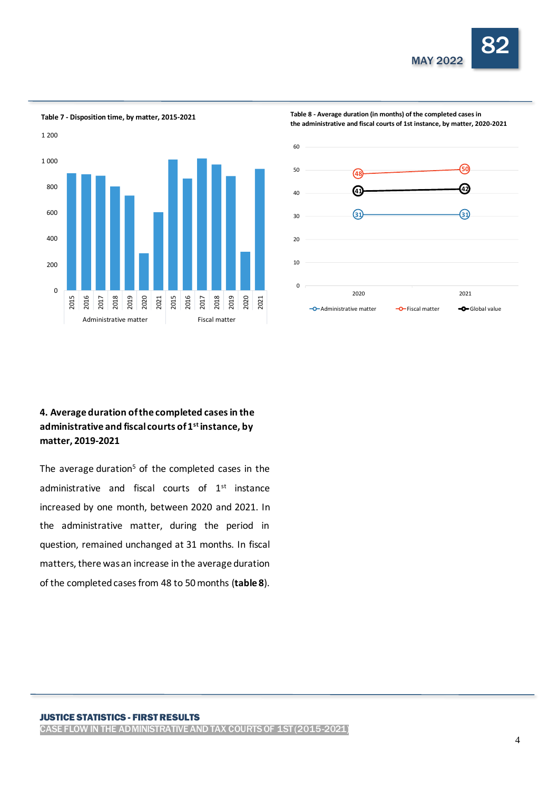



**Table 7 - Disposition time, by matter, 2015-2021**

**Table 8 - Average duration (in months) of the completed cases in the administrative and fiscal courts of 1st instance, by matter, 2020-2021**



# **4. Average duration of the completed cases in the administrative and fiscal courts of 1st instance, by matter, 2019-2021**

The average duration<sup>5</sup> of the completed cases in the administrative and fiscal courts of 1<sup>st</sup> instance increased by one month, between 2020 and 2021. In the administrative matter, during the period in question, remained unchanged at 31 months. In fiscal matters, there was an increase in the average duration of the completed cases from 48 to 50months (**table 8**).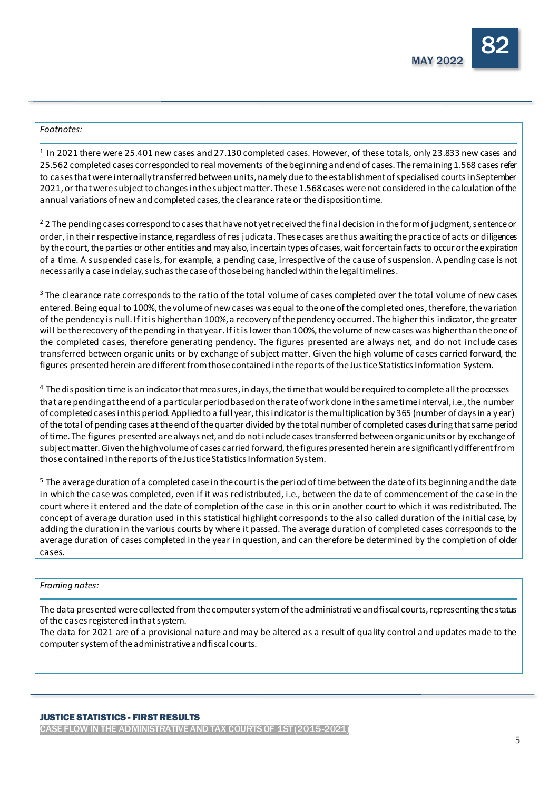### *Footnotes:*

 $1$  In 2021 there were 25.401 new cases and 27.130 completed cases. However, of these totals, only 23.833 new cases and 25.562 completed cases corresponded to real movements of the beginning and end of cases. The remaining 1.568 cases refer to cases that were internally transferred between units, namely due to the establishment of specialised courts in September 2021, or that were subject to changes in the subject matter. These 1.568 cases were not considered in the calculation of the annual variations of new and completed cases, the clearance rate or the disposition time.

<sup>2</sup> 2 The pending cases correspond to cases that have not yet received the final decision in the form of judgment, sentence or order, in their respective instance, regardless of res judicata. These cases are thus awaiting the practice of acts or diligences by the court, the parties or other entities and may also, in certain types of cases, wait for certain facts to occur or the expiration of a time. A suspended case is, for example, a pending case, irrespective of the cause of suspension. A pending case is not necessarily a case in delay, such as the case of those being handled within the legal timelines.

<sup>3</sup> The clearance rate corresponds to the ratio of the total volume of cases completed over the total volume of new cases entered. Being equal to 100%, the volume of new cases was equal to the one of the completed ones, therefore, the variation of the pendency is null. If it is higher than 100%, a recovery of the pendency occurred. The higher this indicator, the greater will be the recovery of the pending in that year. If it is lower than 100%, the volume of new cases was higher than the one of the completed cases, therefore generating pendency. The figures presented are always net, and do not include cases transferred between organic units or by exchange of subject matter. Given the high volume of cases carried forward, the figures presented herein are different from those contained in the reports of the Justice Statistics Information System.

<sup>4</sup> The disposition time is an indicator that measures, in days, the time that would be required to complete all the processes that are pending at the end of a particular period based on the rate of work done in the same time interval, i.e., the number of completed cases in this period. Applied to a full year, this indicator is the multiplication by 365 (number of days in a year) of the total of pending cases at the end of the quarter divided by the total number of completed cases during that same period of time. The figures presented are always net, and do not include cases transferred between organic units or by exchange of subject matter. Given the high volume of cases carried forward, the figures presented herein are significantly different from those contained in the reports of the Justice Statistics Information System.

<sup>5</sup> The average duration of a completed case in the court is the period of time between the date of its beginning and the date in which the case was completed, even if it was redistributed, i.e., between the date of commencement of the case in the court where it entered and the date of completion of the case in this or in another court to which it was redistributed. The concept of average duration used in this statistical highlight corresponds to the also called duration of the initial case, by adding the duration in the various courts by where it passed. The average duration of completed cases corresponds to the average duration of cases completed in the year in question, and can therefore be determined by the completion of older cases.

### *Framing notes:*

The data presented were collected from the computer system of the administrative and fiscal courts, representing the status of the cases registered in that system.

The data for 2021 are of a provisional nature and may be altered as a result of quality control and updates made to the computer system of the administrative and fiscal courts.

CASE FLOW IN THE ADMINISTRATIVE AND TAX COURTS OF 1ST (2015-2021)